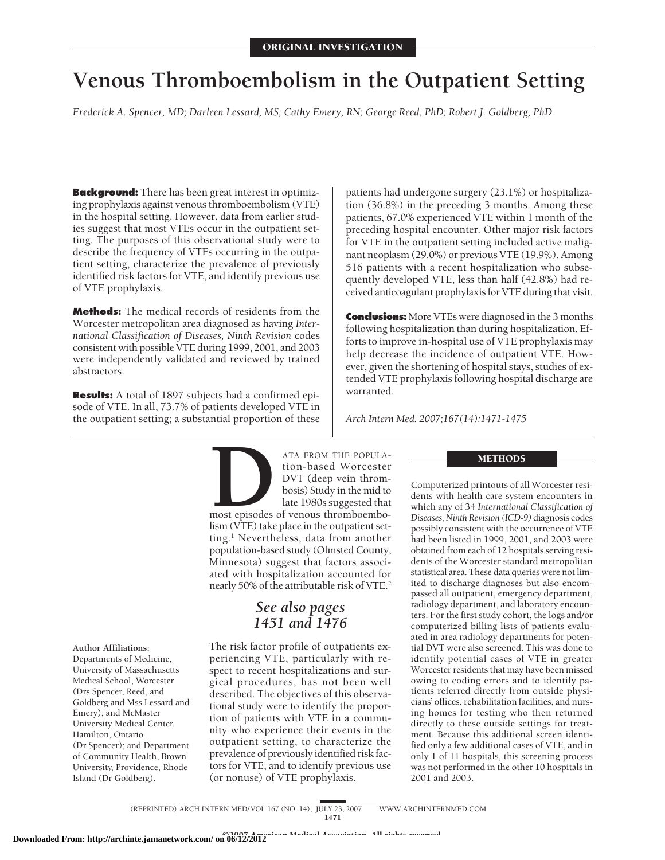# **Venous Thromboembolism in the Outpatient Setting**

*Frederick A. Spencer, MD; Darleen Lessard, MS; Cathy Emery, RN; George Reed, PhD; Robert J. Goldberg, PhD*

**Background:** There has been great interest in optimizing prophylaxis against venous thromboembolism (VTE) in the hospital setting. However, data from earlier studies suggest that most VTEs occur in the outpatient setting. The purposes of this observational study were to describe the frequency of VTEs occurring in the outpatient setting, characterize the prevalence of previously identified risk factors for VTE, and identify previous use of VTE prophylaxis.

**Methods:** The medical records of residents from the Worcester metropolitan area diagnosed as having *International Classification of Diseases, Ninth Revision* codes consistent with possible VTE during 1999, 2001, and 2003 were independently validated and reviewed by trained abstractors.

**Results:** A total of 1897 subjects had a confirmed episode of VTE. In all, 73.7% of patients developed VTE in the outpatient setting; a substantial proportion of these

patients had undergone surgery (23.1%) or hospitalization (36.8%) in the preceding 3 months. Among these patients, 67.0% experienced VTE within 1 month of the preceding hospital encounter. Other major risk factors for VTE in the outpatient setting included active malignant neoplasm (29.0%) or previous VTE (19.9%). Among 516 patients with a recent hospitalization who subsequently developed VTE, less than half (42.8%) had received anticoagulant prophylaxis for VTE during that visit.

**Conclusions:** More VTEs were diagnosed in the 3 months following hospitalization than during hospitalization. Efforts to improve in-hospital use of VTE prophylaxis may help decrease the incidence of outpatient VTE. However, given the shortening of hospital stays, studies of extended VTE prophylaxis following hospital discharge are warranted.

*Arch Intern Med. 2007;167(14):1471-1475*

ATA FROM THE POPULA-<br>tion-based Worcester<br>DVT (deep vein throm-<br>bosis) Study in the mid to<br>late 1980s suggested that<br>most episodes of venous thromboembo-<br>lism (VTE) take place in the outpatient settion-based Worcester DVT (deep vein thrombosis) Study in the mid to late 1980s suggested that most episodes of venous thromboembolism (VTE) take place in the outpatient setting.<sup>1</sup> Nevertheless, data from another population-based study (Olmsted County, Minnesota) suggest that factors associated with hospitalization accounted for nearly 50% of the attributable risk of VTE.2

# *See also pages 1451 and 1476*

The risk factor profile of outpatients experiencing VTE, particularly with respect to recent hospitalizations and surgical procedures, has not been well described. The objectives of this observational study were to identify the proportion of patients with VTE in a community who experience their events in the outpatient setting, to characterize the prevalence of previously identified risk factors for VTE, and to identify previous use (or nonuse) of VTE prophylaxis.

#### METHODS

Computerized printouts of all Worcester residents with health care system encounters in which any of 34 *International Classification of Diseases, Ninth Revision (ICD-9)* diagnosis codes possibly consistent with the occurrence of VTE had been listed in 1999, 2001, and 2003 were obtained from each of 12 hospitals serving residents of the Worcester standard metropolitan statistical area. These data queries were not limited to discharge diagnoses but also encompassed all outpatient, emergency department, radiology department, and laboratory encounters. For the first study cohort, the logs and/or computerized billing lists of patients evaluated in area radiology departments for potential DVT were also screened. This was done to identify potential cases of VTE in greater Worcester residents that may have been missed owing to coding errors and to identify patients referred directly from outside physicians' offices, rehabilitation facilities, and nursing homes for testing who then returned directly to these outside settings for treatment. Because this additional screen identified only a few additional cases of VTE, and in only 1 of 11 hospitals, this screening process was not performed in the other 10 hospitals in 2001 and 2003.

**Author Affiliations:** Departments of Medicine, University of Massachusetts Medical School, Worcester (Drs Spencer, Reed, and Goldberg and Mss Lessard and Emery), and McMaster University Medical Center, Hamilton, Ontario (Dr Spencer); and Department of Community Health, Brown University, Providence, Rhode Island (Dr Goldberg).

<sup>1471</sup>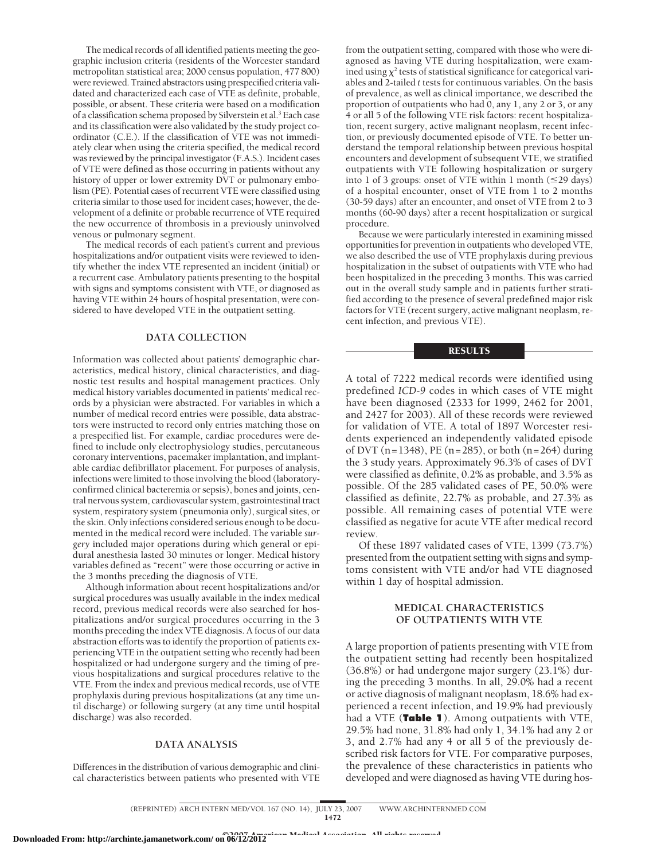The medical records of all identified patients meeting the geographic inclusion criteria (residents of the Worcester standard metropolitan statistical area; 2000 census population, 477 800) were reviewed. Trained abstractors using prespecified criteria validated and characterized each case of VTE as definite, probable, possible, or absent. These criteria were based on a modification of a classification schema proposed by Silverstein et al.<sup>3</sup> Each case and its classification were also validated by the study project coordinator (C.E.). If the classification of VTE was not immediately clear when using the criteria specified, the medical record was reviewed by the principal investigator (F.A.S.). Incident cases of VTE were defined as those occurring in patients without any history of upper or lower extremity DVT or pulmonary embolism (PE). Potential cases of recurrent VTE were classified using criteria similar to those used for incident cases; however, the development of a definite or probable recurrence of VTE required the new occurrence of thrombosis in a previously uninvolved venous or pulmonary segment.

The medical records of each patient's current and previous hospitalizations and/or outpatient visits were reviewed to identify whether the index VTE represented an incident (initial) or a recurrent case. Ambulatory patients presenting to the hospital with signs and symptoms consistent with VTE, or diagnosed as having VTE within 24 hours of hospital presentation, were considered to have developed VTE in the outpatient setting.

#### **DATA COLLECTION**

Information was collected about patients' demographic characteristics, medical history, clinical characteristics, and diagnostic test results and hospital management practices. Only medical history variables documented in patients' medical records by a physician were abstracted. For variables in which a number of medical record entries were possible, data abstractors were instructed to record only entries matching those on a prespecified list. For example, cardiac procedures were defined to include only electrophysiology studies, percutaneous coronary interventions, pacemaker implantation, and implantable cardiac defibrillator placement. For purposes of analysis, infections were limited to those involving the blood (laboratoryconfirmed clinical bacteremia or sepsis), bones and joints, central nervous system, cardiovascular system, gastrointestinal tract system, respiratory system (pneumonia only), surgical sites, or the skin. Only infections considered serious enough to be documented in the medical record were included. The variable *surgery* included major operations during which general or epidural anesthesia lasted 30 minutes or longer. Medical history variables defined as "recent" were those occurring or active in the 3 months preceding the diagnosis of VTE.

Although information about recent hospitalizations and/or surgical procedures was usually available in the index medical record, previous medical records were also searched for hospitalizations and/or surgical procedures occurring in the 3 months preceding the index VTE diagnosis. A focus of our data abstraction efforts was to identify the proportion of patients experiencing VTE in the outpatient setting who recently had been hospitalized or had undergone surgery and the timing of previous hospitalizations and surgical procedures relative to the VTE. From the index and previous medical records, use of VTE prophylaxis during previous hospitalizations (at any time until discharge) or following surgery (at any time until hospital discharge) was also recorded.

### **DATA ANALYSIS**

Differences in the distribution of various demographic and clinical characteristics between patients who presented with VTE from the outpatient setting, compared with those who were diagnosed as having VTE during hospitalization, were examined using  $\chi^2$  tests of statistical significance for categorical variables and 2-tailed *t* tests for continuous variables. On the basis of prevalence, as well as clinical importance, we described the proportion of outpatients who had 0, any 1, any 2 or 3, or any 4 or all 5 of the following VTE risk factors: recent hospitalization, recent surgery, active malignant neoplasm, recent infection, or previously documented episode of VTE. To better understand the temporal relationship between previous hospital encounters and development of subsequent VTE, we stratified outpatients with VTE following hospitalization or surgery into 1 of 3 groups: onset of VTE within 1 month  $(\leq 29 \text{ days})$ of a hospital encounter, onset of VTE from 1 to 2 months (30-59 days) after an encounter, and onset of VTE from 2 to 3 months (60-90 days) after a recent hospitalization or surgical procedure.

Because we were particularly interested in examining missed opportunities for prevention in outpatients who developed VTE, we also described the use of VTE prophylaxis during previous hospitalization in the subset of outpatients with VTE who had been hospitalized in the preceding 3 months. This was carried out in the overall study sample and in patients further stratified according to the presence of several predefined major risk factors for VTE (recent surgery, active malignant neoplasm, recent infection, and previous VTE).

# **RESULTS**

A total of 7222 medical records were identified using predefined *ICD-9* codes in which cases of VTE might have been diagnosed (2333 for 1999, 2462 for 2001, and 2427 for 2003). All of these records were reviewed for validation of VTE. A total of 1897 Worcester residents experienced an independently validated episode of DVT (n=1348), PE (n=285), or both (n=264) during the 3 study years. Approximately 96.3% of cases of DVT were classified as definite, 0.2% as probable, and 3.5% as possible. Of the 285 validated cases of PE, 50.0% were classified as definite, 22.7% as probable, and 27.3% as possible. All remaining cases of potential VTE were classified as negative for acute VTE after medical record review.

Of these 1897 validated cases of VTE, 1399 (73.7%) presented from the outpatient setting with signs and symptoms consistent with VTE and/or had VTE diagnosed within 1 day of hospital admission.

## **MEDICAL CHARACTERISTICS OF OUTPATIENTS WITH VTE**

A large proportion of patients presenting with VTE from the outpatient setting had recently been hospitalized (36.8%) or had undergone major surgery (23.1%) during the preceding 3 months. In all, 29.0% had a recent or active diagnosis of malignant neoplasm, 18.6% had experienced a recent infection, and 19.9% had previously had a VTE (**Table 1**). Among outpatients with VTE, 29.5% had none, 31.8% had only 1, 34.1% had any 2 or 3, and 2.7% had any 4 or all 5 of the previously described risk factors for VTE. For comparative purposes, the prevalence of these characteristics in patients who developed and were diagnosed as having VTE during hos-

(REPRINTED) ARCH INTERN MED/ VOL 167 (NO. 14), JULY 23, 2007 WWW.ARCHINTERNMED.COM

<sup>1472</sup>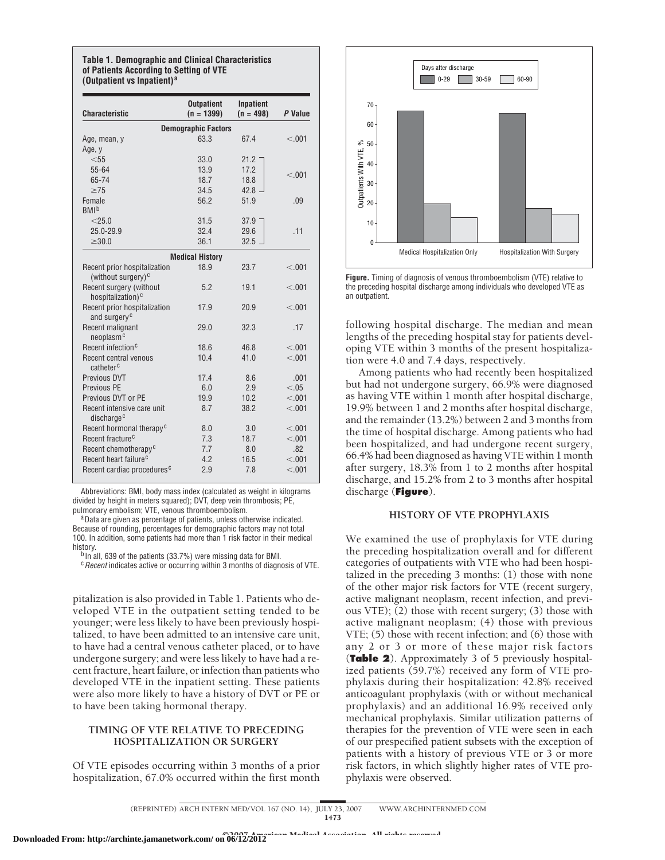#### **Table 1. Demographic and Clinical Characteristics of Patients According to Setting of VTE (Outpatient vs Inpatient)<sup>a</sup>**

| <b>Characteristic</b>                                          | <b>Outpatient</b><br>$(n = 1399)$ | Inpatient<br>$(n = 498)$ | P Value |
|----------------------------------------------------------------|-----------------------------------|--------------------------|---------|
|                                                                | <b>Demographic Factors</b>        |                          |         |
| Age, mean, y                                                   | 63.3                              | 67.4                     | < 0.01  |
| Age, y                                                         |                                   |                          |         |
| $<$ 55                                                         | 33.0                              | 21.2                     |         |
| 55-64                                                          | 13.9                              | 17.2                     | < 0.01  |
| 65-74                                                          | 18.7                              | 18.8                     |         |
| $\geq$ 75                                                      | 34.5                              | 42.8                     |         |
| Female                                                         | 56.2                              | 51.9                     | .09     |
| BMI <sup>b</sup>                                               |                                   |                          |         |
| $<$ 25.0                                                       | 31.5                              | 37.9                     |         |
| 25.0-29.9                                                      | 32.4                              | 29.6                     | .11     |
| $\geq 30.0$                                                    | 36.1                              | 32.5                     |         |
|                                                                | <b>Medical History</b>            |                          |         |
| Recent prior hospitalization<br>(without surgery) <sup>c</sup> | 18.9                              | 23.7                     | < 0.01  |
| Recent surgery (without<br>hospitalization) <sup>c</sup>       | 5.2                               | 19.1                     | < 0.001 |
| Recent prior hospitalization<br>and surgery <sup>c</sup>       | 17.9                              | 20.9                     | < 0.01  |
| Recent malignant<br>neoplasm <sup>c</sup>                      | 29.0                              | 32.3                     | .17     |
| Recent infection <sup>c</sup>                                  | 18.6                              | 46.8                     | < 0.001 |
| Recent central venous<br>catheter <sup>c</sup>                 | 10.4                              | 41.0                     | < 0.001 |
| Previous DVT                                                   | 17.4                              | 8.6                      | .001    |
| Previous PE                                                    | 6.0                               | 2.9                      | < 0.05  |
| Previous DVT or PE                                             | 19.9                              | 10.2                     | < 0.001 |
| Recent intensive care unit<br>discharge <sup>c</sup>           | 8.7                               | 38.2                     | < .001  |
| Recent hormonal therapy <sup>c</sup>                           | 8.0                               | 3.0                      | < 0.001 |
| Recent fracture <sup>c</sup>                                   | 7.3                               | 18.7                     | < 0.001 |
| Recent chemotherapy <sup>c</sup>                               | 77                                | 8.0                      | .82     |
| Recent heart failure <sup>c</sup>                              | 4.2                               | 16.5                     | < .001  |
| Recent cardiac procedures <sup>c</sup>                         | 2.9                               | 7.8                      | < 0.001 |

Abbreviations: BMI, body mass index (calculated as weight in kilograms divided by height in meters squared); DVT, deep vein thrombosis; PE, pulmonary embolism; VTE, venous thromboembolism.

a Data are given as percentage of patients, unless otherwise indicated. Because of rounding, percentages for demographic factors may not total 100. In addition, some patients had more than 1 risk factor in their medical

 $<sup>b</sup>$  In all, 639 of the patients (33.7%) were missing data for BMI.</sup>

<sup>c</sup>*Recent* indicates active or occurring within 3 months of diagnosis of VTE.

pitalization is also provided in Table 1. Patients who developed VTE in the outpatient setting tended to be younger; were less likely to have been previously hospitalized, to have been admitted to an intensive care unit, to have had a central venous catheter placed, or to have undergone surgery; and were less likely to have had a recent fracture, heart failure, or infection than patients who developed VTE in the inpatient setting. These patients were also more likely to have a history of DVT or PE or to have been taking hormonal therapy.

# **TIMING OF VTE RELATIVE TO PRECEDING HOSPITALIZATION OR SURGERY**

Of VTE episodes occurring within 3 months of a prior hospitalization, 67.0% occurred within the first month



**Figure.** Timing of diagnosis of venous thromboembolism (VTE) relative to the preceding hospital discharge among individuals who developed VTE as an outpatient.

following hospital discharge. The median and mean lengths of the preceding hospital stay for patients developing VTE within 3 months of the present hospitalization were 4.0 and 7.4 days, respectively.

Among patients who had recently been hospitalized but had not undergone surgery, 66.9% were diagnosed as having VTE within 1 month after hospital discharge, 19.9% between 1 and 2 months after hospital discharge, and the remainder (13.2%) between 2 and 3 months from the time of hospital discharge. Among patients who had been hospitalized, and had undergone recent surgery, 66.4% had been diagnosed as having VTE within 1 month after surgery, 18.3% from 1 to 2 months after hospital discharge, and 15.2% from 2 to 3 months after hospital discharge (**Figure**).

### **HISTORY OF VTE PROPHYLAXIS**

We examined the use of prophylaxis for VTE during the preceding hospitalization overall and for different categories of outpatients with VTE who had been hospitalized in the preceding 3 months: (1) those with none of the other major risk factors for VTE (recent surgery, active malignant neoplasm, recent infection, and previous VTE); (2) those with recent surgery; (3) those with active malignant neoplasm; (4) those with previous VTE; (5) those with recent infection; and (6) those with any 2 or 3 or more of these major risk factors (**Table 2**). Approximately 3 of 5 previously hospitalized patients (59.7%) received any form of VTE prophylaxis during their hospitalization: 42.8% received anticoagulant prophylaxis (with or without mechanical prophylaxis) and an additional 16.9% received only mechanical prophylaxis. Similar utilization patterns of therapies for the prevention of VTE were seen in each of our prespecified patient subsets with the exception of patients with a history of previous VTE or 3 or more risk factors, in which slightly higher rates of VTE prophylaxis were observed.

<sup>(</sup>REPRINTED) ARCH INTERN MED/ VOL 167 (NO. 14), JULY 23, 2007 WWW.ARCHINTERNMED.COM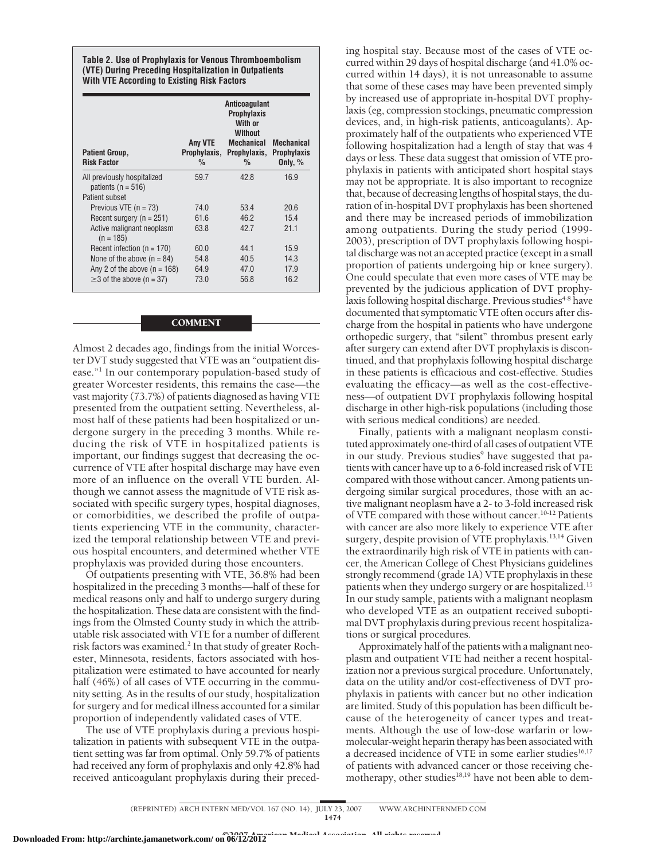**Table 2. Use of Prophylaxis for Venous Thromboembolism (VTE) During Preceding Hospitalization in Outpatients With VTE According to Existing Risk Factors**

| <b>Patient Group,</b><br><b>Risk Factor</b>           | <b>Any VTE</b><br>Prophylaxis,<br>$\%$ | Anticoagulant<br><b>Prophylaxis</b><br>With or<br><b>Without</b><br><b>Mechanical</b><br>Prophylaxis,<br>$\%$ | <b>Mechanical</b><br><b>Prophylaxis</b><br>Only, $%$ |
|-------------------------------------------------------|----------------------------------------|---------------------------------------------------------------------------------------------------------------|------------------------------------------------------|
| All previously hospitalized<br>patients ( $n = 516$ ) | 59.7                                   | 42.8                                                                                                          | 16.9                                                 |
| Patient subset                                        |                                        |                                                                                                               |                                                      |
| Previous VTE $(n = 73)$                               | 74.0                                   | 53.4                                                                                                          | 20.6                                                 |
| Recent surgery ( $n = 251$ )                          | 61.6                                   | 46.2                                                                                                          | 15.4                                                 |
| Active malignant neoplasm<br>$(n = 185)$              | 63.8                                   | 42.7                                                                                                          | 21.1                                                 |
| Recent infection ( $n = 170$ )                        | 60.0                                   | 44.1                                                                                                          | 15.9                                                 |
| None of the above $(n = 84)$                          | 54.8                                   | 40.5                                                                                                          | 14.3                                                 |
| Any 2 of the above $(n = 168)$                        | 64.9                                   | 47.0                                                                                                          | 17.9                                                 |
| $\geq$ 3 of the above (n = 37)                        | 73.0                                   | 56.8                                                                                                          | 16.2                                                 |

#### COMMENT

Almost 2 decades ago, findings from the initial Worcester DVT study suggested that VTE was an "outpatient disease."<sup>1</sup> In our contemporary population-based study of greater Worcester residents, this remains the case—the vast majority (73.7%) of patients diagnosed as having VTE presented from the outpatient setting. Nevertheless, almost half of these patients had been hospitalized or undergone surgery in the preceding 3 months. While reducing the risk of VTE in hospitalized patients is important, our findings suggest that decreasing the occurrence of VTE after hospital discharge may have even more of an influence on the overall VTE burden. Although we cannot assess the magnitude of VTE risk associated with specific surgery types, hospital diagnoses, or comorbidities, we described the profile of outpatients experiencing VTE in the community, characterized the temporal relationship between VTE and previous hospital encounters, and determined whether VTE prophylaxis was provided during those encounters.

Of outpatients presenting with VTE, 36.8% had been hospitalized in the preceding 3 months—half of these for medical reasons only and half to undergo surgery during the hospitalization. These data are consistent with the findings from the Olmsted County study in which the attributable risk associated with VTE for a number of different risk factors was examined.<sup>2</sup> In that study of greater Rochester, Minnesota, residents, factors associated with hospitalization were estimated to have accounted for nearly half (46%) of all cases of VTE occurring in the community setting. As in the results of our study, hospitalization for surgery and for medical illness accounted for a similar proportion of independently validated cases of VTE.

The use of VTE prophylaxis during a previous hospitalization in patients with subsequent VTE in the outpatient setting was far from optimal. Only 59.7% of patients had received any form of prophylaxis and only 42.8% had received anticoagulant prophylaxis during their preceding hospital stay. Because most of the cases of VTE occurred within 29 days of hospital discharge (and 41.0% occurred within 14 days), it is not unreasonable to assume that some of these cases may have been prevented simply by increased use of appropriate in-hospital DVT prophylaxis (eg, compression stockings, pneumatic compression devices, and, in high-risk patients, anticoagulants). Approximately half of the outpatients who experienced VTE following hospitalization had a length of stay that was 4 days or less. These data suggest that omission of VTE prophylaxis in patients with anticipated short hospital stays may not be appropriate. It is also important to recognize that, because of decreasing lengths of hospital stays, the duration of in-hospital DVT prophylaxis has been shortened and there may be increased periods of immobilization among outpatients. During the study period (1999- 2003), prescription of DVT prophylaxis following hospital discharge was not an accepted practice (except in a small proportion of patients undergoing hip or knee surgery). One could speculate that even more cases of VTE may be prevented by the judicious application of DVT prophylaxis following hospital discharge. Previous studies<sup>4-8</sup> have documented that symptomatic VTE often occurs after discharge from the hospital in patients who have undergone orthopedic surgery, that "silent" thrombus present early after surgery can extend after DVT prophylaxis is discontinued, and that prophylaxis following hospital discharge in these patients is efficacious and cost-effective. Studies evaluating the efficacy—as well as the cost-effectiveness—of outpatient DVT prophylaxis following hospital discharge in other high-risk populations (including those with serious medical conditions) are needed.

Finally, patients with a malignant neoplasm constituted approximately one-third of all cases of outpatient VTE in our study. Previous studies<sup>9</sup> have suggested that patients with cancer have up to a 6-fold increased risk of VTE compared with those without cancer. Among patients undergoing similar surgical procedures, those with an active malignant neoplasm have a 2- to 3-fold increased risk of VTE compared with those without cancer.10-12 Patients with cancer are also more likely to experience VTE after surgery, despite provision of VTE prophylaxis.<sup>13,14</sup> Given the extraordinarily high risk of VTE in patients with cancer, the American College of Chest Physicians guidelines strongly recommend (grade 1A) VTE prophylaxis in these patients when they undergo surgery or are hospitalized.15 In our study sample, patients with a malignant neoplasm who developed VTE as an outpatient received suboptimal DVT prophylaxis during previous recent hospitalizations or surgical procedures.

Approximately half of the patients with a malignant neoplasm and outpatient VTE had neither a recent hospitalization nor a previous surgical procedure. Unfortunately, data on the utility and/or cost-effectiveness of DVT prophylaxis in patients with cancer but no other indication are limited. Study of this population has been difficult because of the heterogeneity of cancer types and treatments. Although the use of low-dose warfarin or lowmolecular-weight heparin therapy has been associated with a decreased incidence of VTE in some earlier studies<sup>16,17</sup> of patients with advanced cancer or those receiving chemotherapy, other studies<sup>18,19</sup> have not been able to dem-

<sup>(</sup>REPRINTED) ARCH INTERN MED/ VOL 167 (NO. 14), JULY 23, 2007 WWW.ARCHINTERNMED.COM